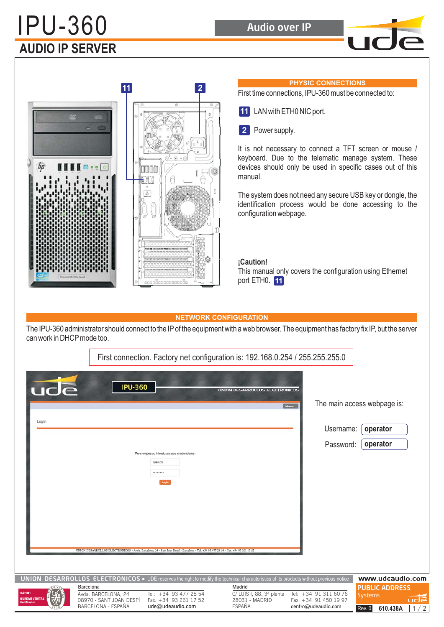# **AUDIO IP SERVER** IPU-360 Audio over IP





## **PHYSIC CONNECTIONS**

First time connections, IPU-360 must be connected to:

- LAN with ETH0 NIC port. **11**
- 2 Power supply.

It is not necessary to connect a TFT screen or mouse / keyboard. Due to the telematic manage system. These devices should only be used in specific cases out of this manual.

The system does not need any secure USB key or dongle, the identification process would be done accessing to the configuration webpage.

#### **¡Caution!**

This manual only covers the configuration using Ethernet port ETH0. **11**

#### **NETWORK CONFIGURATION**

The IPU-360 administrator should connect to the IP of the equipment with a web browser. The equipment has factory fix IP, but the server can work in DHCP mode too.

|                                                          |                                                                                   | First connection. Factory net configuration is: 192.168.0.254 / 255.255.255.0                                                                                                                    |                                                                       |                                                                       |                                                                             |
|----------------------------------------------------------|-----------------------------------------------------------------------------------|--------------------------------------------------------------------------------------------------------------------------------------------------------------------------------------------------|-----------------------------------------------------------------------|-----------------------------------------------------------------------|-----------------------------------------------------------------------------|
| ude<br>Login                                             | <b>IPU-360</b>                                                                    | Para empezar, introduzca sus credenciales:<br>operator<br><br>UNION DESARROLLOS ELECTRONICOS - Avda. Barcelona, 24 - Sant Joan Despí - Barcelona - Tel. +34 93 477 28 54 - Fax. +34 93 261 17 52 | UNION DESARROLLOS ELECTRONICOS                                        | <b>Idloma</b><br>Username:<br>Password:                               | The main access webpage is:<br>operator<br>operator                         |
|                                                          |                                                                                   | UNION DESARROLLOS ELECTRONICOS . UDE reserves the right to modify the technical characteristics of its products without previous notice                                                          |                                                                       |                                                                       | www.udeaudio.com                                                            |
| <b>SO 9001</b><br><b>BUREAU VERITAS</b><br>Certification | Barcelona<br>Avda. BARCELONA, 24<br>08970 - SANT JOAN DESPÍ<br>BARCELONA - ESPAÑA | Tel: +34 93 477 28 54<br>Fax: +34 93 261 17 52<br>ude@udeaudio.com                                                                                                                               | Madrid<br>C/ LUIS I, 88, 3ª planta<br>28031 - MADRID<br><b>ESPAÑA</b> | Tel: +34 91 311 60 76<br>Fax: +34 91 450 19 97<br>centro@udeaudio.com | <b>PUBLIC ADDRESS</b><br><b>Systems</b><br>udē<br>1/2<br>610.438A<br>Rev. 0 |